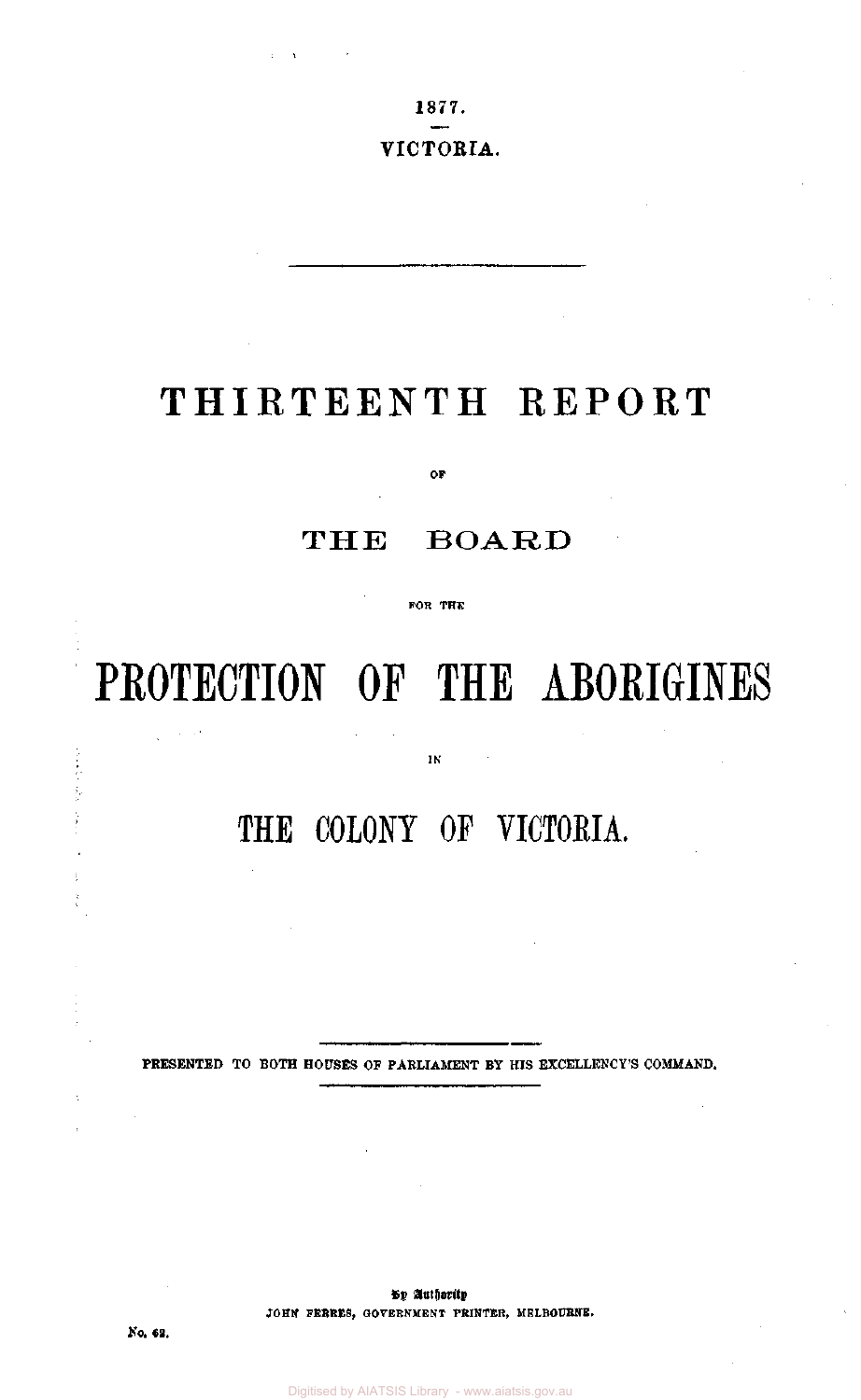1877.

#### VICTORIA.

## THIRTEENTH REPORT

**OF** 

### THE BOARD

**FOR THE** 

# **PROTECTION OF THE ABORIGINES**

**IN** 

THE COLONY OF VICTORIA.

PRESENTED TO BOTH HOUSES OF PARLIAMENT BY HIS EXCELLENCY'S COMMAND.

By Authority **JOHN FERRES, GOVERNMENT PRINTER, MELBOURNE.** 

No. 62.

医囊肿 ţ.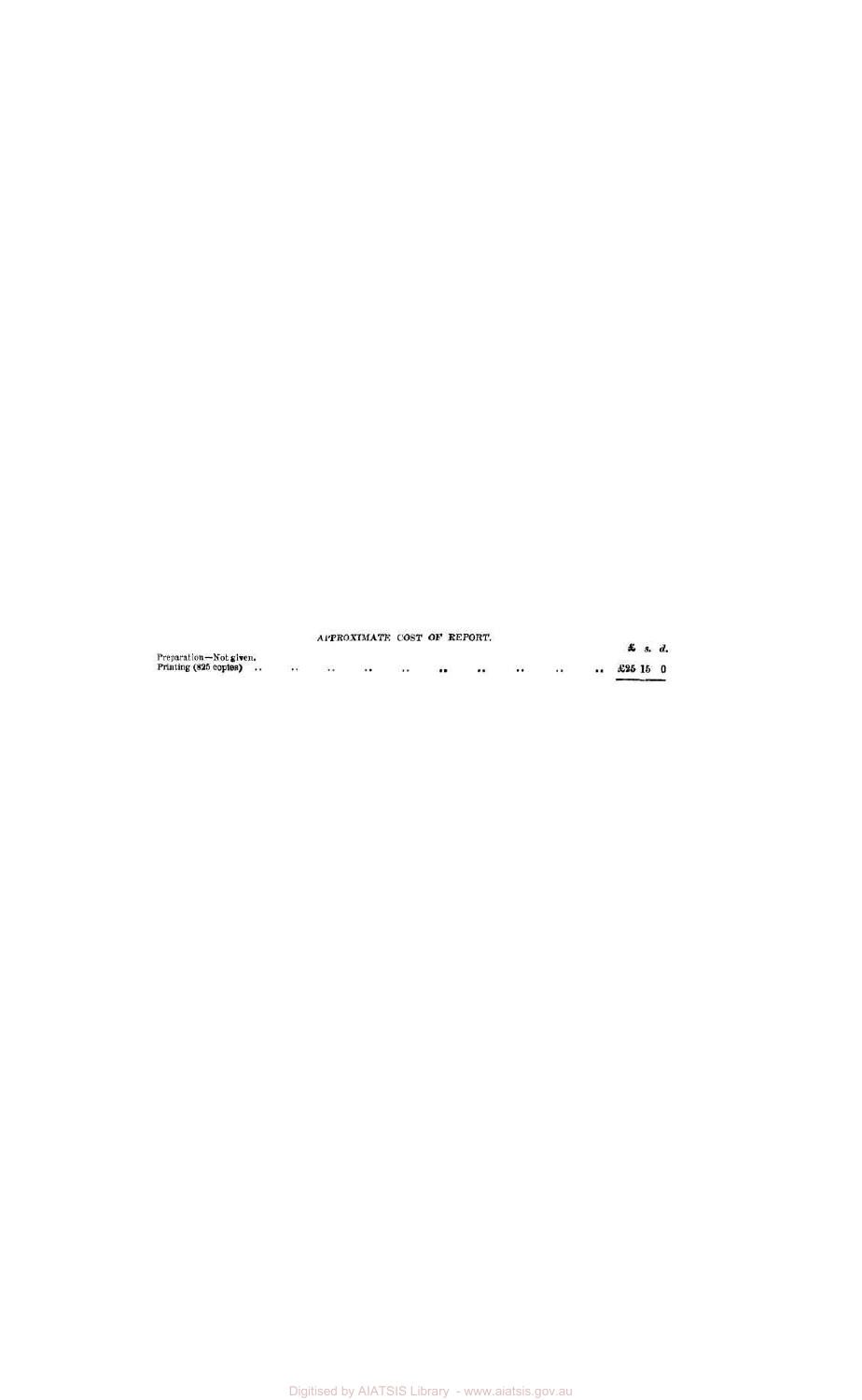#### **APPROXIMATE COST OF REPORT.**

|                                                 |                  |         |           |          | APPROXIMATE COST OF REPORT. |                      |         |          |          |            | £ s. d. |  |
|-------------------------------------------------|------------------|---------|-----------|----------|-----------------------------|----------------------|---------|----------|----------|------------|---------|--|
| Preparation-Not given.<br>Printing (825 copies) | $\bullet\bullet$ | $\cdot$ | $\cdot$ . | $\cdots$ | $\cdots$                    | $\ddot{\phantom{a}}$ | $\cdot$ | $\cdots$ | $\cdots$ | $£25$ 15 0 |         |  |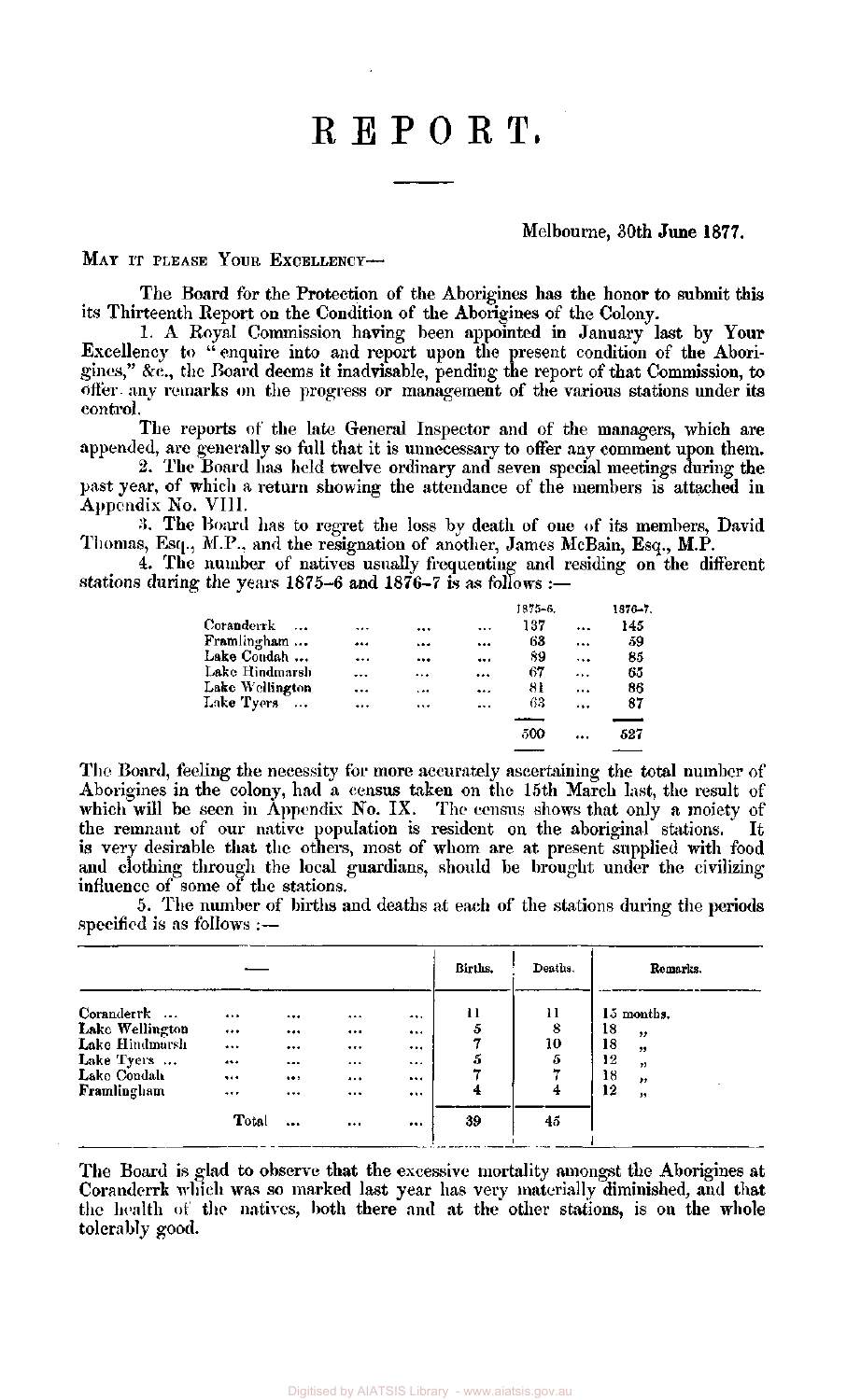## REPORT.

#### Melbourne, 30th June 1877.

#### MAY IT PLEASE YOUR EXCELLENCY-

The Board for the Protection of the Aborigines has the honor to submit this its Thirteenth Report on the Condition of the Aborigines of the Colony.

1. A Royal Commission having been appointed in January last by Your Excellency to " enquire into and report upon the present condition of the Aborigines," &c, the Board deems it inadvisable, pending the report of that Commission, to offer any remarks on the progress or management of the various stations under its control.

The reports of the late General Inspector and of the managers, which are appended, are generally so full that it is unnecessary to offer any comment upon them.

2. The Board has held twelve ordinary and seven special meetings during the past year, of which a return showing the attendance of the members is attached in Appendix No. VIII.

*3.* The Board has to regret the loss by death of one of its members, David Thomas, Esq., M.P., and the resignation of another, James McBain, Esq., M.P.

4. The number of natives usually frequenting and residing on the different stations during the years 1875-6 and 1876-7 is as follows :-

|                 |           |           |           | 1875-6. |           | $1876 - 7.$ |
|-----------------|-----------|-----------|-----------|---------|-----------|-------------|
| Coranderrk      |           |           |           | 137     |           | 145         |
| Framlingham     |           |           |           | 63      |           | 59          |
| Lake Condah     | $\ddotsc$ |           | $\cdots$  | 89      | $\ddotsc$ | 85          |
| Lake Hindmarsh  |           |           |           | 67      |           | 65          |
| Lake Wellington | $\cdots$  | $\ddotsc$ | $\ddotsc$ | 81      |           | 86          |
| Lake Tyers      |           | $\cdots$  | $\cdots$  | 63      |           | 87          |
|                 |           |           |           |         |           |             |
|                 |           |           |           | 500     |           | 527         |

The Board, feeling the necessity for more accurately ascertaining the total number of Aborigines in the colony, had a census taken on the 15th March last, the result of which will be seen in Appendix No. IX. The census shows that only a moiety of the remnant of our native population is resident on the aboriginal stations. It is very desirable that the others, most of whom are at present supplied with food and clothing through the local guardians, should be brought under the civilizing influence of some of the stations.

5. The number of births and deaths at each of the stations during the periods specified is as follows :—

|                                                                                             |                                                         |                                   |                                  |                                  | Births.                 | Deaths.                            | Remarks.                                                                |
|---------------------------------------------------------------------------------------------|---------------------------------------------------------|-----------------------------------|----------------------------------|----------------------------------|-------------------------|------------------------------------|-------------------------------------------------------------------------|
| Coranderrk<br>Lake Wellington<br>Lake Hindmarsh<br>Lake Tyers<br>Lake Condah<br>Framlingham | <br>$\cdots$<br>$$<br>$\cdots$<br><br>$\cdots$<br>Total | <br><br><br><br><br><br>$\ddotsc$ | <br><br><br><br><br><br>$\cdots$ | <br><br><br><br>$\cdots$<br><br> | 11<br>5<br>5<br>4<br>39 | 11<br>8<br>10<br>5<br>7<br>4<br>45 | 15 months.<br>18<br>,,<br>18<br>22<br>12<br>,,<br>18<br>,,<br>12<br>, , |

The Board is glad to observe that the excessive mortality amongst the Aborigines at Coranderrk which was so marked last year has very materially diminished, and that the health of the natives, both there and at the other stations, is on the whole tolerably good.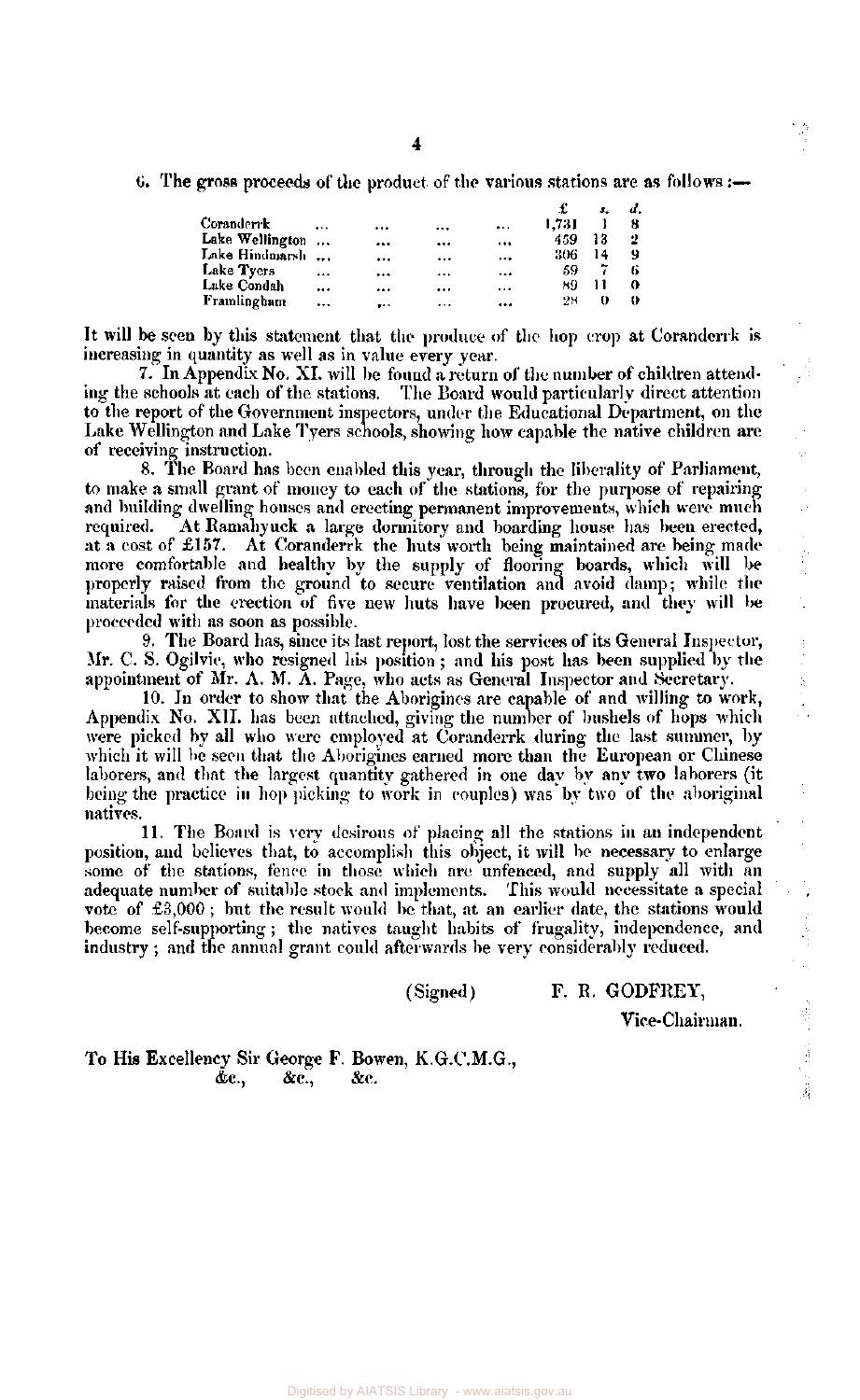G. The gross proceeds of the product of the various stations are as follows:—

|                 |           |          |          |          |       | з. |   |
|-----------------|-----------|----------|----------|----------|-------|----|---|
| Coranderrk      |           |          | $\cdots$ |          | 1.731 |    |   |
| Lake Wellington |           |          |          |          | 459   | 13 | 2 |
| Lake Hindmarsh  | $\ddotsc$ |          |          |          | 306   | 14 | 9 |
| Lake Tyers      |           |          |          |          | 59    |    |   |
| Lake Condah     | $\cdots$  |          |          |          | 89    |    | 0 |
| Framlingham     | $\cdots$  | $\cdots$ |          | $\cdots$ | 28    | o  |   |
|                 |           |          |          |          |       |    |   |

It will be seen by this statement that the produce of the hop crop at Coranderrk is increasing in quantity as well as in value every year.

7. In Appendix No. XI. will be found a return of the number of children attending the schools at each of the stations. The Board would particularly direct attention The Board would particularly direct attention to the report of the Government inspectors, under the Educational Department, on the Lake Wellington and Lake Tyers schools, showing how capable the native children are of receiving instruction.

8. The Board has been enabled this year, through the liberality of Parliament, to make a small grant of money to each of the stations, for the purpose of repairing and building dwelling houses and erecting permanent improvements, which were much required. At Ramahyuck a large dormitory and boarding house has been erected, at a cost of £157. At Coranderrk the huts worth being maintained are being made more comfortable and healthy by the supply of flooring boards, which will be properly raised from the ground to secure ventilation and avoid damp; while the materials for the erection of five new huts have been procured, and they will be proceeded with as soon as possible.

9. The Board has, since its last report, lost the services of its General Inspector, Mr. C. S. Ogilvie, who resigned his position ; and his post has been supplied by the appointment of Mr. A. M. A. Page, who acts as General Inspector and Secretary.

10. In order to show that the Aborigines are capable of and willing to work, Appendix No. XII. has been attached, giving the number of bushels of hops which were picked by all who were employed at Coranderrk during the last summer, by which it will be seen that the Aborigines earned more than the European or Chinese laborers, and that the largest quantity gathered in one day by any two laborers (it being the practice in hop picking to work in couples) was by two of the aboriginal natives.

11. The Board is very desirous of placing all the stations in an independent position, and believes that, to accomplish this object, it will be necessary to enlarge some of the stations, fence in those which are unfenced, and supply all with an adequate number of suitable stock and implements. This would necessitate a special vote of £3,000 ; but the result would be that, at an earlier date, the stations would become self-supporting ; the natives taught habits of frugality, independence, and industry; and the annual grant could afterwards be very considerably reduced.

(Signed) F. R. GODFREY,

Vice-Chairman.

To His Excellency Sir George F. Bowen, K.G.C.M.G., &c, &c, &c.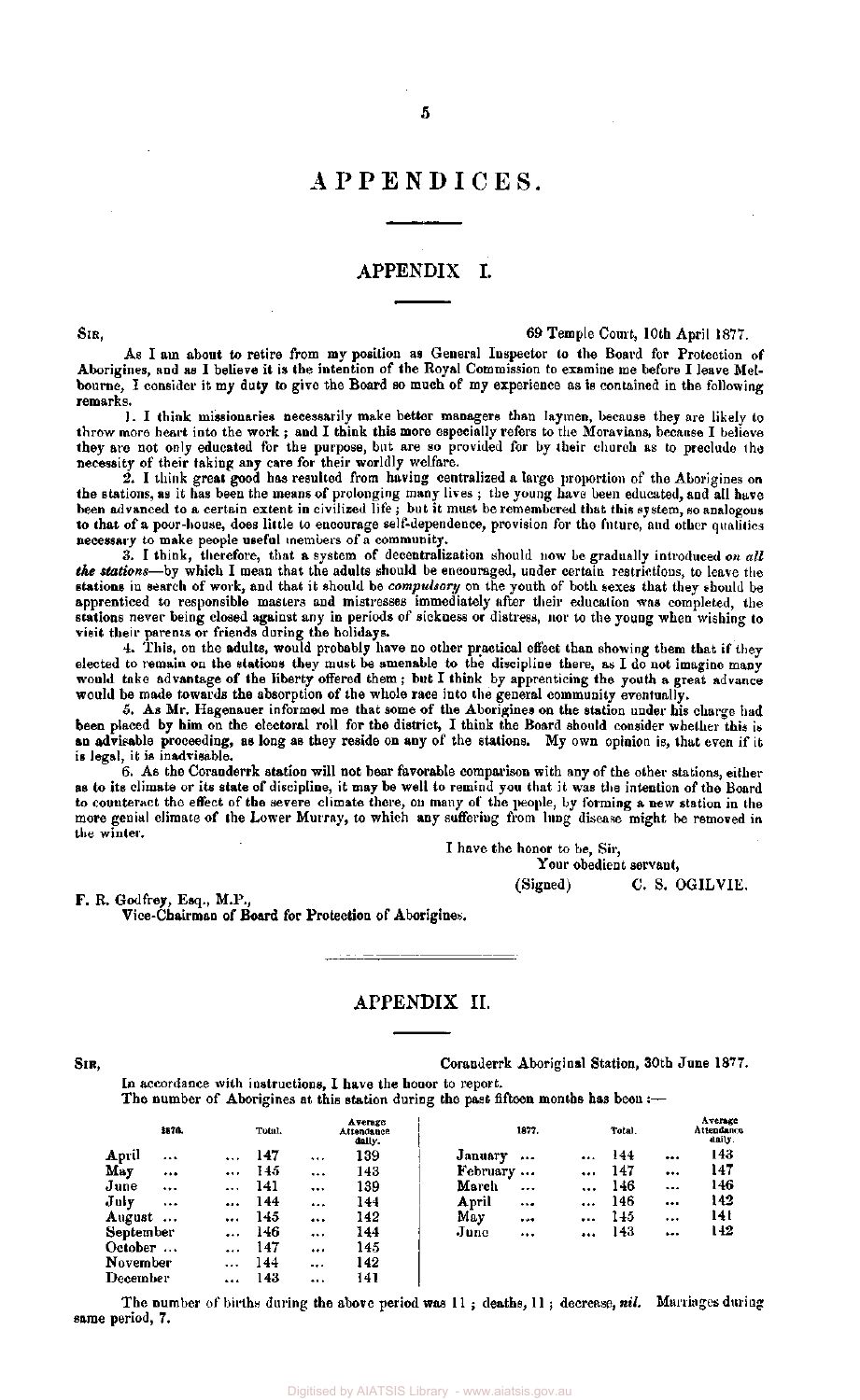#### APPENDICES .

#### APPENDIX I.

SIR, 69 Temple Court, 10th April 1877.

As I am about to retire from my position as General Inspector to the Board for Protection of Aborigines, and as I believe it is the intention of the Royal Commission to examine me before I leave Melbourne, I consider it my duty to give the Board so much of my experience as is contained in the following remarks.

1. I think missionaries necessarily make better managers than laymen, because they are likely to throw more heart into the work ; and I think this more especially refers to the Moravians, because I believe they are not only educated for the purpose, but are so provided for by their church as to preclude the necessity of their taking any care for their worldly welfare.

2. I think great good has resulted from having centralized a large proportion of the Aborigines on the stations, as it has been the means of prolonging many lives ; the young have been educated, and all have been advanced to a certain extent in civilized life ; but it must be remembered that this system, so analogous to that of a poor-house, does little to encourage self-dependence, provision for the future, and other qualities necessary to make people useful members of a community.

3. I think, therefore, that a system of decentralization should now be gradually introduced *on all the stations*—by which I mean that the adults should be encouraged, under certain restrictions, to leave the stations in search of work, and that it should be *compulsory* on the youth of both sexes that they should be apprenticed to responsible masters and mistresses immediately after their education was completed, the stations never being closed against any in periods of sickness or distress, nor to the young when wishing to visit their parents or friends during the holidays.

4. This, on the adults, would probably have no other practical effect than showing them that if they elected to remain on the stations they must be amenable to the discipline there, as I do not imagine many would take advantage of the liberty offered them; but I think by apprenticing the youth a great advance would be made towards the absorption of the whole race into the general community eventually.

5. As Mr. Hagenauer informed me that some of the Aborigines on the station under his charge had been placed by him on the electoral roll for the district, I think the Board should consider whether this is an advisable proceeding, as long as they reside on any of the stations. My own opinion is, that even if it is legal, it is inadvisable.

6. As the Coranderrk station will not bear favorable comparison with any of the other stations, either as to its climate or its state of discipline, it may be well to remind you that it was the intention of the Board to counteract the effect of the severe climate there, on many of the people, by forming a new station in the more genial climate of the Lower Murray, to which any suffering from lung disease might be removed in the winter.

I have the honor to be, Sir,

Your obedient servant, (Signed) C. S. OGILV1E.

F. R. Godfrey, Esq., M.P., Vice-Chairman of Board for Protection of Aborigines.

#### APPENDIX II.

SIR, Coranderrk Aboriginal Station, 30th June 1877.

In accordance with instructions, I have the honor to report. The number of Aborigines at this station during the past fifteen months has been:-

|                 | 1870.    |          | Total. |          | Average<br>Attendance<br>dally. |                   | 1877.    |           | Total. |          | Average<br>Attendance<br>daily. |
|-----------------|----------|----------|--------|----------|---------------------------------|-------------------|----------|-----------|--------|----------|---------------------------------|
| April           |          | $\cdots$ | 147    | $\cdots$ | 139                             | January           |          | $\cdots$  | 144    |          | 143                             |
| May             |          | $\cdots$ | 145    |          | 143                             | February $\ldots$ |          | $\cdots$  | 147    |          | 147                             |
| June            |          | $\cdots$ | 141    |          | 139                             | March             | $\cdots$ | $\cdots$  | 146    | $\cdots$ | 146                             |
| July            | $\cdots$ |          | 144    |          | 144                             | April             |          |           | 146    | $\cdots$ | 142                             |
| August          | $\cdots$ | $\cdots$ | 145    | $\cdots$ | 142                             | May               |          | $\ddotsc$ | 145    |          | 14 t                            |
| September       |          |          | 146    |          | 144                             | June              |          |           | 143    |          | 142                             |
| $October \dots$ |          |          | 147    |          | 145                             |                   |          |           |        |          |                                 |
| November        |          | $\cdots$ | 144    | $\cdots$ | 142                             |                   |          |           |        |          |                                 |
| December        |          |          | 143    |          | 141                             |                   |          |           |        |          |                                 |

The number of births during the above period was 11 ; deaths, 11 ; decrease, *nil.* Marriages during same period, 7.